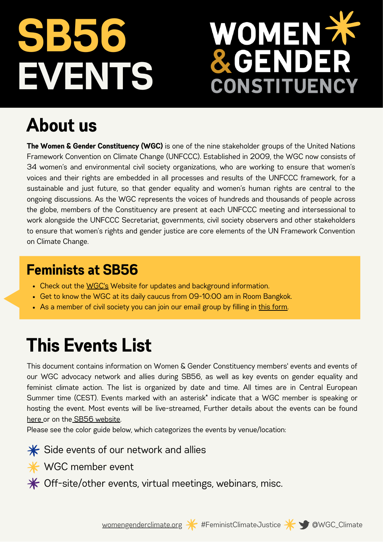# **EVENTS SB56**

# OMEN X DER **CONSTITUENCY**

## **About us**

**The Women & Gender Constituency (WGC)** is one of the nine stakeholder groups of the United Nations Framework Convention on Climate Change (UNFCCC). Established in 2009, the WGC now consists of 34 women's and environmental civil society organizations, who are working to ensure that women's voices and their rights are embedded in all processes and results of the UNFCCC framework, for a sustainable and just future, so that gender equality and women's human rights are central to the ongoing discussions. As the WGC represents the voices of hundreds and thousands of people across the globe, members of the Constituency are present at each UNFCCC meeting and intersessional to work alongside the UNFCCC Secretariat, governments, civil society observers and other stakeholders to ensure that women's rights and gender justice are core elements of the UN Framework Convention on Climate Change.

#### **Feminists at SB56**

- Check out the [WGC's](http://bit.ly/WGCDemands-COP26) Website for updates and background information.
- Get to know the WGC at its daily caucus from 09-10:00 am in Room Bangkok.
- As a member of civil society you can join our email group by filling in this [form.](https://docs.google.com/forms/d/e/1FAIpQLScjgImcoze2GsPaCgFz097-C73Kc5XCvJ4OaJcptNR1wOQ37w/viewform?usp=sf_link)

### **This Events List**

This document contains information on Women & Gender Constituency members' events and events of our WGC advocacy network and allies during SB56, as well as key events on gender equality and feminist climate action. The list is organized by date and time. All times are in Central European Summer time (CEST). Events marked with an asterisk\* indicate that a WGC member is speaking or hosting the event. Most events will be live-streame[d.](https://www.youtube.com/c/cop26) Further details about the events can be found [here](https://seors.unfccc.int/applications/seors/reports/events_list.html?session_id=SB%2056) or on the SB56 [website.](https://unfccc.int/SB56)

Please see the color guide below, which categorizes the events by venue/location:

 $\frac{1}{\sqrt{2}}$  Side events of our network and allies

**<del></del>** WGC member event

 $*$  Off-site/other events, virtual meetings, webinars, misc.



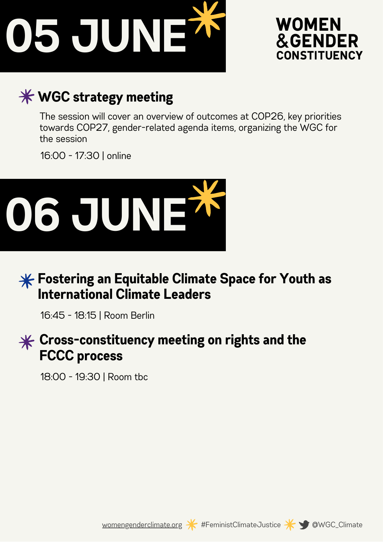



#### **WGC strategy meeting**

The session will cover an overview of outcomes at COP26, key priorities towards COP27, gender-related agenda items, organizing the WGC for the session

16:00 - 17:30 | online



#### **Fostering an Equitable Climate Space for Youth as International Climate Leaders**

16:45 - 18:15 | Room Berlin

#### **Cross-constituency meeting on rights and the FCCC process**

18:00 - 19:30 | Room tbc





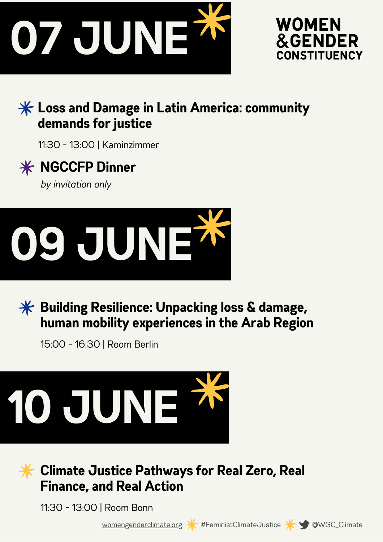



#### **Loss and Damage in Latin America: community demands for justice**

11:30 - 13:00 | Kaminzimmer

# **NGCCFP Dinner**

*by invitation only*





15:00 - 16:30 | Room Berlin



#### **Climate Justice Pathways for Real Zero, Real Finance, and Real Action**

11:30 - 13:00 | Room Bonn

[womengenderclimate.org](http://womengenderclimate.org/) \* #FeministClimateJustice \* 9 @WGC\_Climate



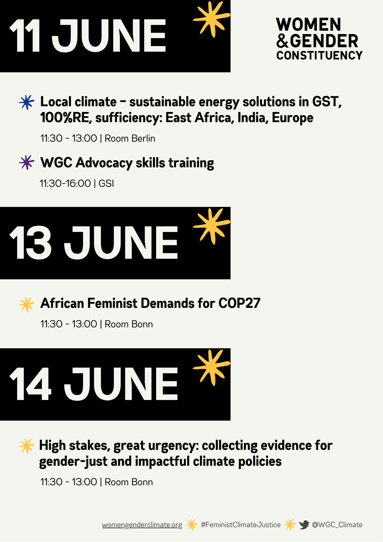



#### **Local climate – sustainable energy solutions in GST, 100%RE, sufficiency: East Africa, India, Europe**

11:30 - 13:00 | Room Berlin

#### **WGC Advocacy skills training**

11:30-16:00 | GSI





**African Feminist Demands for COP27**

11:30 - 13:00 | Room Bonn



**High stakes, great urgency: collecting evidence for gender-just and impactful climate policies**

11:30 - 13:00 | Room Bonn